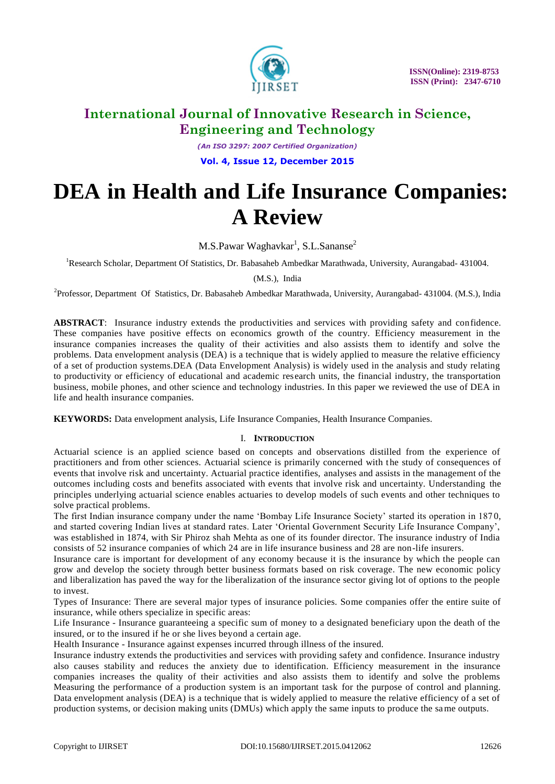

*(An ISO 3297: 2007 Certified Organization)* **Vol. 4, Issue 12, December 2015**

# **DEA in Health and Life Insurance Companies: A Review**

M.S.Pawar Waghavkar<sup>1</sup>, S.L.Sananse<sup>2</sup>

<sup>1</sup>Research Scholar, Department Of Statistics, Dr. Babasaheb Ambedkar Marathwada, University, Aurangabad- 431004.

(M.S.), India

<sup>2</sup> Professor, Department Of Statistics, Dr. Babasaheb Ambedkar Marathwada, University, Aurangabad- 431004. (M.S.), India

**ABSTRACT**: Insurance industry extends the productivities and services with providing safety and confidence. These companies have positive effects on economics growth of the country. Efficiency measurement in the insurance companies increases the quality of their activities and also assists them to identify and solve the problems. Data envelopment analysis (DEA) is a technique that is widely applied to measure the relative efficiency of a set of production systems.DEA (Data Envelopment Analysis) is widely used in the analysis and study relating to productivity or efficiency of educational and academic research units, the financial industry, the transportation business, mobile phones, and other science and technology industries. In this paper we reviewed the use of DEA in life and health insurance companies.

**KEYWORDS:** Data envelopment analysis, Life Insurance Companies, Health Insurance Companies.

#### I. **INTRODUCTION**

Actuarial science is an applied science based on concepts and observations distilled from the experience of practitioners and from other sciences. Actuarial science is primarily concerned with the study of consequences of events that involve risk and uncertainty. Actuarial practice identifies, analyses and assists in the management of the outcomes including costs and benefits associated with events that involve risk and uncertainty. Understanding the principles underlying actuarial science enables actuaries to develop models of such events and other techniques to solve practical problems.

The first Indian insurance company under the name 'Bombay Life Insurance Society' started its operation in 1870, and started covering Indian lives at standard rates. Later "Oriental Government Security Life Insurance Company", was established in 1874, with Sir Phiroz shah Mehta as one of its founder director. The insurance industry of India consists of 52 insurance companies of which 24 are in life insurance business and 28 are non-life insurers.

Insurance care is important for development of any economy because it is the insurance by which the people can grow and develop the society through better business formats based on risk coverage. The new economic policy and liberalization has paved the way for the liberalization of the insurance sector giving lot of options to the people to invest.

Types of Insurance: There are several major types of insurance policies. Some companies offer the entire suite of insurance, while others specialize in specific areas:

Life Insurance - Insurance guaranteeing a specific sum of money to a designated beneficiary upon the death of the insured, or to the insured if he or she lives beyond a certain age.

Health Insurance - Insurance against expenses incurred through illness of the insured.

Insurance industry extends the productivities and services with providing safety and confidence. Insurance industry also causes stability and reduces the anxiety due to identification. Efficiency measurement in the insurance companies increases the quality of their activities and also assists them to identify and solve the problems Measuring the performance of a production system is an important task for the purpose of control and planning. Data envelopment analysis (DEA) is a technique that is widely applied to measure the relative efficiency of a set of production systems, or decision making units (DMUs) which apply the same inputs to produce the same outputs.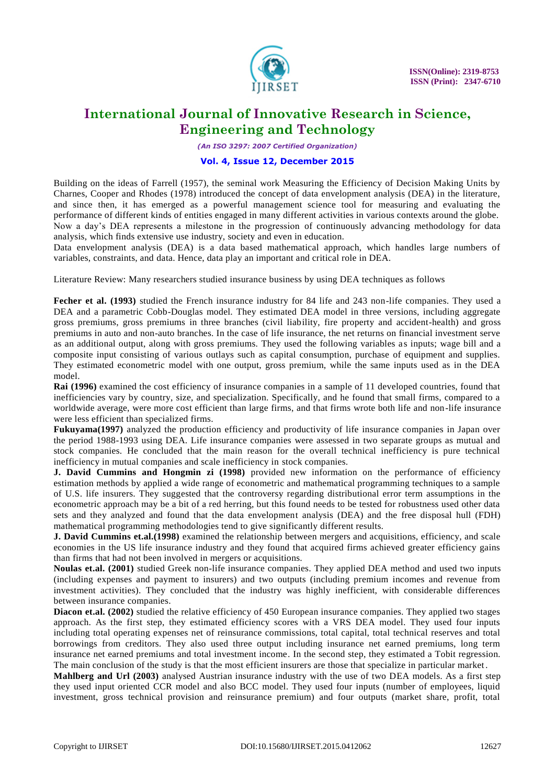

*(An ISO 3297: 2007 Certified Organization)*

### **Vol. 4, Issue 12, December 2015**

Building on the ideas of Farrell (1957), the seminal work Measuring the Efficiency of Decision Making Units by Charnes, Cooper and Rhodes (1978) introduced the concept of data envelopment analysis (DEA) in the literature, and since then, it has emerged as a powerful management science tool for measuring and evaluating the performance of different kinds of entities engaged in many different activities in various contexts around the globe. Now a day"s DEA represents a milestone in the progression of continuously advancing methodology for data analysis, which finds extensive use industry, society and even in education.

Data envelopment analysis (DEA) is a data based mathematical approach, which handles large numbers of variables, constraints, and data. Hence, data play an important and critical role in DEA.

Literature Review: Many researchers studied insurance business by using DEA techniques as follows

**Fecher et al. (1993)** studied the French insurance industry for 84 life and 243 non-life companies. They used a DEA and a parametric Cobb-Douglas model. They estimated DEA model in three versions, including aggregate gross premiums, gross premiums in three branches (civil liability, fire property and accident-health) and gross premiums in auto and non-auto branches. In the case of life insurance, the net returns on financial investment serve as an additional output, along with gross premiums. They used the following variables as inputs; wage bill and a composite input consisting of various outlays such as capital consumption, purchase of equipment and supplies. They estimated econometric model with one output, gross premium, while the same inputs used as in the DEA model.

**Rai (1996)** examined the cost efficiency of insurance companies in a sample of 11 developed countries, found that inefficiencies vary by country, size, and specialization. Specifically, and he found that small firms, compared to a worldwide average, were more cost efficient than large firms, and that firms wrote both life and non-life insurance were less efficient than specialized firms.

**Fukuyama(1997)** analyzed the production efficiency and productivity of life insurance companies in Japan over the period 1988-1993 using DEA. Life insurance companies were assessed in two separate groups as mutual and stock companies. He concluded that the main reason for the overall technical inefficiency is pure technical inefficiency in mutual companies and scale inefficiency in stock companies.

**J. David Cummins and Hongmin zi (1998)** provided new information on the performance of efficiency estimation methods by applied a wide range of econometric and mathematical programming techniques to a sample of U.S. life insurers. They suggested that the controversy regarding distributional error term assumptions in the econometric approach may be a bit of a red herring, but this found needs to be tested for robustness used other data sets and they analyzed and found that the data envelopment analysis (DEA) and the free disposal hull (FDH) mathematical programming methodologies tend to give significantly different results.

**J. David Cummins et.al.(1998)** examined the relationship between mergers and acquisitions, efficiency, and scale economies in the US life insurance industry and they found that acquired firms achieved greater efficiency gains than firms that had not been involved in mergers or acquisitions.

**Noulas et.al. (2001)** studied Greek non-life insurance companies. They applied DEA method and used two inputs (including expenses and payment to insurers) and two outputs (including premium incomes and revenue from investment activities). They concluded that the industry was highly inefficient, with considerable differences between insurance companies.

**Diacon et.al. (2002)** studied the relative efficiency of 450 European insurance companies. They applied two stages approach. As the first step, they estimated efficiency scores with a VRS DEA model. They used four inputs including total operating expenses net of reinsurance commissions, total capital, total technical reserves and total borrowings from creditors. They also used three output including insurance net earned premiums, long term insurance net earned premiums and total investment income. In the second step, they estimated a Tobit regression. The main conclusion of the study is that the most efficient insurers are those that specialize in particular market .

**Mahlberg and Url (2003)** analysed Austrian insurance industry with the use of two DEA models. As a first step they used input oriented CCR model and also BCC model. They used four inputs (number of employees, liquid investment, gross technical provision and reinsurance premium) and four outputs (market share, profit, total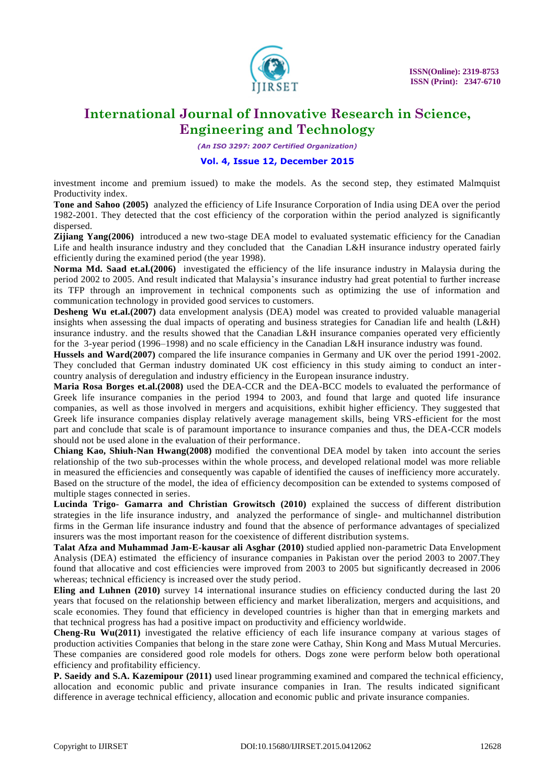

*(An ISO 3297: 2007 Certified Organization)*

### **Vol. 4, Issue 12, December 2015**

investment income and premium issued) to make the models. As the second step, they estimated Malmquist Productivity index.

**Tone and Sahoo (2005)** analyzed the efficiency of Life Insurance Corporation of India using DEA over the period 1982-2001. They detected that the cost efficiency of the corporation within the period analyzed is significantly dispersed.

**Zijiang Yang(2006)** introduced a new two-stage DEA model to evaluated systematic efficiency for the Canadian Life and health insurance industry and they concluded that the Canadian L&H insurance industry operated fairly efficiently during the examined period (the year 1998).

**Norma Md. Saad et.al.(2006)** investigated the efficiency of the life insurance industry in Malaysia during the period 2002 to 2005. And result indicated that Malaysia"s insurance industry had great potential to further increase its TFP through an improvement in technical components such as optimizing the use of information and communication technology in provided good services to customers.

**Desheng Wu et.al.(2007)** data envelopment analysis (DEA) model was created to provided valuable managerial insights when assessing the dual impacts of operating and business strategies for Canadian life and health (L&H) insurance industry. and the results showed that the Canadian L&H insurance companies operated very efficiently for the 3-year period (1996–1998) and no scale efficiency in the Canadian L&H insurance industry was found.

**Hussels and Ward(2007)** compared the life insurance companies in Germany and UK over the period 1991-2002. They concluded that German industry dominated UK cost efficiency in this study aiming to conduct an intercountry analysis of deregulation and industry efficiency in the European insurance industry.

**Maria Rosa Borges et.al.(2008)** used the DEA-CCR and the DEA-BCC models to evaluated the performance of Greek life insurance companies in the period 1994 to 2003, and found that large and quoted life insurance companies, as well as those involved in mergers and acquisitions, exhibit higher efficiency. They suggested that Greek life insurance companies display relatively average management skills, being VRS-efficient for the most part and conclude that scale is of paramount importance to insurance companies and thus, the DEA-CCR models should not be used alone in the evaluation of their performance.

**Chiang Kao, Shiuh-Nan Hwang(2008)** modified the conventional DEA model by taken into account the series relationship of the two sub-processes within the whole process, and developed relational model was more reliable in measured the efficiencies and consequently was capable of identified the causes of inefficiency more accurately. Based on the structure of the model, the idea of efficiency decomposition can be extended to systems composed of multiple stages connected in series.

**Lucinda Trigo- Gamarra and Christian Growitsch (2010)** explained the success of different distribution strategies in the life insurance industry, and analyzed the performance of single- and multichannel distribution firms in the German life insurance industry and found that the absence of performance advantages of specialized insurers was the most important reason for the coexistence of different distribution systems.

**Talat Afza and Muhammad Jam-E-kausar ali Asghar (2010)** studied applied non-parametric Data Envelopment Analysis (DEA) estimated the efficiency of insurance companies in Pakistan over the period 2003 to 2007.They found that allocative and cost efficiencies were improved from 2003 to 2005 but significantly decreased in 2006 whereas; technical efficiency is increased over the study period.

**Eling and Luhnen (2010)** survey 14 international insurance studies on efficiency conducted during the last 20 years that focused on the relationship between efficiency and market liberalization, mergers and acquisitions, and scale economies. They found that efficiency in developed countries is higher than that in emerging markets and that technical progress has had a positive impact on productivity and efficiency worldwide.

**Cheng-Ru Wu(2011)** investigated the relative efficiency of each life insurance company at various stages of production activities Companies that belong in the stare zone were Cathay, Shin Kong and Mass Mutual Mercuries. These companies are considered good role models for others. Dogs zone were perform below both operational efficiency and profitability efficiency.

**P. Saeidy and S.A. Kazemipour (2011)** used linear programming examined and compared the technical efficiency, allocation and economic public and private insurance companies in Iran. The results indicated significant difference in average technical efficiency, allocation and economic public and private insurance companies.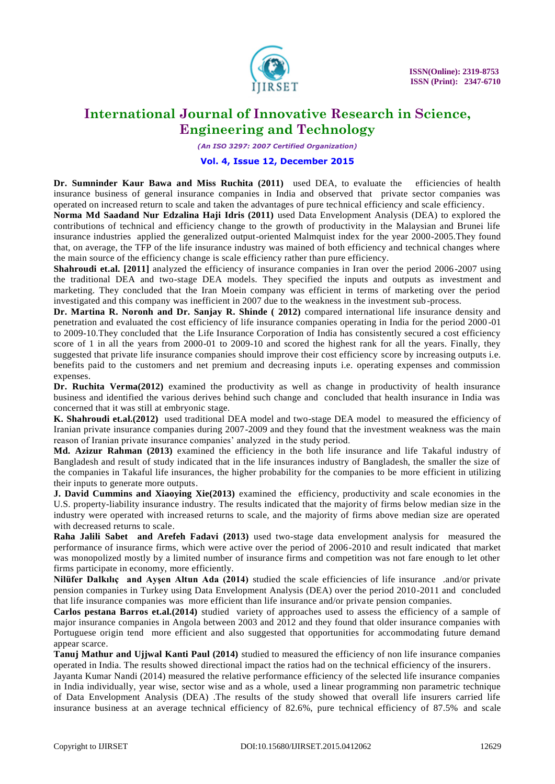

*(An ISO 3297: 2007 Certified Organization)*

#### **Vol. 4, Issue 12, December 2015**

Dr. Sumninder Kaur Bawa and Miss Ruchita (2011) used DEA, to evaluate the efficiencies of health insurance business of general insurance companies in India and observed that private sector companies was operated on increased return to scale and taken the advantages of pure technical efficiency and scale efficiency.

**Norma Md Saadand Nur Edzalina Haji Idris (2011)** used Data Envelopment Analysis (DEA) to explored the contributions of technical and efficiency change to the growth of productivity in the Malaysian and Brunei life insurance industries applied the generalized output-oriented Malmquist index for the year 2000-2005.They found that, on average, the TFP of the life insurance industry was mained of both efficiency and technical changes where the main source of the efficiency change is scale efficiency rather than pure efficiency.

**Shahroudi et.al. [2011]** analyzed the efficiency of insurance companies in Iran over the period 2006-2007 using the traditional DEA and two-stage DEA models. They specified the inputs and outputs as investment and marketing. They concluded that the Iran Moein company was efficient in terms of marketing over the period investigated and this company was inefficient in 2007 due to the weakness in the investment sub -process.

**Dr. Martina R. Noronh and Dr. Sanjay R. Shinde ( 2012)** compared international life insurance density and penetration and evaluated the cost efficiency of life insurance companies operating in India for the period 2000 -01 to 2009-10.They concluded that the Life Insurance Corporation of India has consistently secured a cost efficiency score of 1 in all the years from 2000-01 to 2009-10 and scored the highest rank for all the years. Finally, they suggested that private life insurance companies should improve their cost efficiency score by increasing outputs i.e. benefits paid to the customers and net premium and decreasing inputs i.e. operating expenses and commission expenses.

**Dr. Ruchita Verma(2012)** examined the productivity as well as change in productivity of health insurance business and identified the various derives behind such change and concluded that health insurance in India was concerned that it was still at embryonic stage.

**K. Shahroudi et.al.(2012)** used traditional DEA model and two-stage DEA model to measured the efficiency of Iranian private insurance companies during 2007-2009 and they found that the investment weakness was the main reason of Iranian private insurance companies' analyzed in the study period.

**Md. Azizur Rahman (2013)** examined the efficiency in the both life insurance and life Takaful industry of Bangladesh and result of study indicated that in the life insurances industry of Bangladesh, the smaller the size of the companies in Takaful life insurances, the higher probability for the companies to be more efficient in utilizing their inputs to generate more outputs.

**J. David Cummins and Xiaoying Xie(2013)** examined the efficiency, productivity and scale economies in the U.S. property-liability insurance industry. The results indicated that the majority of firms below median size in the industry were operated with increased returns to scale, and the majority of firms above median size are operated with decreased returns to scale.

**Raha Jalili Sabet and Arefeh Fadavi (2013)** used two-stage data envelopment analysis for measured the performance of insurance firms, which were active over the period of 2006-2010 and result indicated that market was monopolized mostly by a limited number of insurance firms and competition was not fare enough to let other firms participate in economy, more efficiently.

**Nilüfer Dalkılıç and Ayşen Altun Ada (2014)** studied the scale efficiencies of life insurance .and/or private pension companies in Turkey using Data Envelopment Analysis (DEA) over the period 2010-2011 and concluded that life insurance companies was more efficient than life insurance and/or private pension companies.

**Carlos pestana Barros et.al.(2014)** studied variety of approaches used to assess the efficiency of a sample of major insurance companies in Angola between 2003 and 2012 and they found that older insurance companies with Portuguese origin tend more efficient and also suggested that opportunities for accommodating future demand appear scarce.

**Tanuj Mathur and Ujjwal Kanti Paul (2014)** studied to measured the efficiency of non life insurance companies operated in India. The results showed directional impact the ratios had on the technical efficiency of the insurers.

Jayanta Kumar Nandi (2014) measured the relative performance efficiency of the selected life insurance companies in India individually, year wise, sector wise and as a whole, used a linear programming non parametric technique of Data Envelopment Analysis (DEA) .The results of the study showed that overall life insurers carried life insurance business at an average technical efficiency of 82.6%, pure technical efficiency of 87.5% and scale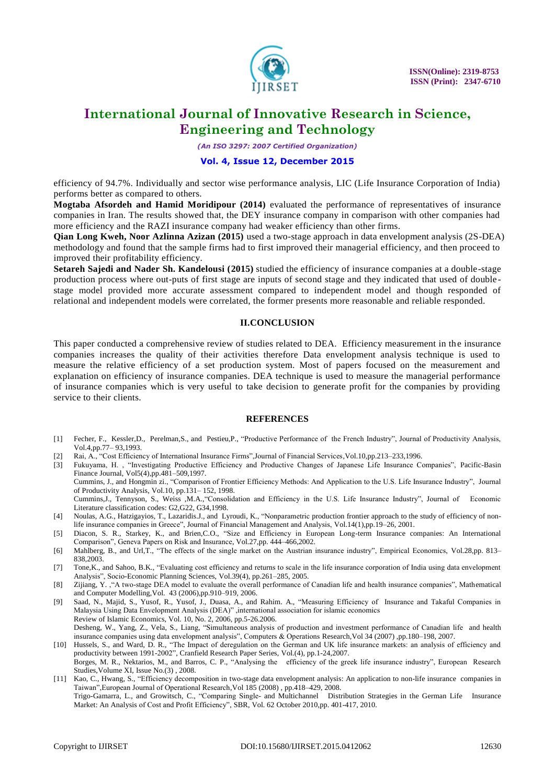

*(An ISO 3297: 2007 Certified Organization)*

#### **Vol. 4, Issue 12, December 2015**

efficiency of 94.7%. Individually and sector wise performance analysis, LIC (Life Insurance Corporation of India) performs better as compared to others.

**Mogtaba Afsordeh and Hamid Moridipour (2014)** evaluated the performance of representatives of insurance companies in Iran. The results showed that, the DEY insurance company in comparison with other companies had more efficiency and the RAZI insurance company had weaker efficiency than other firms.

**Qian Long Kweh, Noor Azlinna Azizan (2015)** used a two-stage approach in data envelopment analysis (2S-DEA) methodology and found that the sample firms had to first improved their managerial efficiency, and then proceed to improved their profitability efficiency.

**Setareh Sajedi and Nader Sh. Kandelousi (2015)** studied the efficiency of insurance companies at a double-stage production process where out-puts of first stage are inputs of second stage and they indicated that used of double stage model provided more accurate assessment compared to independent model and though responded of relational and independent models were correlated, the former presents more reasonable and reliable responded.

#### **II.CONCLUSION**

This paper conducted a comprehensive review of studies related to DEA. Efficiency measurement in the insurance companies increases the quality of their activities therefore Data envelopment analysis technique is used to measure the relative efficiency of a set production system. Most of papers focused on the measurement and explanation on efficiency of insurance companies. DEA technique is used to measure the managerial performance of insurance companies which is very useful to take decision to generate profit for the companies by providing service to their clients.

#### **REFERENCES**

- [1] Fecher, F., Kessler,D., Perelman,S., and Pestieu,P., "Productive Performance of the French Industry", Journal of Productivity Analysis, Vol.4,pp.77– 93,1993.
- [2] Rai, A., "Cost Efficiency of International Insurance Firms",Journal of Financial Services,Vol.10,pp.213–233,1996.

[3] Fukuyama, H. , "Investigating Productive Efficiency and Productive Changes of Japanese Life Insurance Companies", Pacific-Basin Finance Journal, Vol5(4),pp.481–509,1997.

Cummins, J., and Hongmin zi., "Comparison of Frontier Efficiency Methods: And Application to the U.S. Life Insurance Industry", Journal of Productivity Analysis, Vol.10, pp.131– 152, 1998. Cummins,J., Tennyson, S., Weiss ,M.A.,"Consolidation and Efficiency in the U.S. Life Insurance Industry", Journal of Economic Literature classification codes: G2,G22, G34,1998.

- [4] Noulas, A.G., Hatzigayios, T., Lazaridis.J., and Lyroudi, K., "Nonparametric production frontier approach to the study of efficiency of nonlife insurance companies in Greece", Journal of Financial Management and Analysis, Vol.14(1),pp.19–26, 2001.
- [5] Diacon, S. R., Starkey, K., and Brien,C.O., "Size and Efficiency in European Long-term Insurance companies: An International Comparison", Geneva Papers on Risk and Insurance, Vol.27,pp. 444–466,2002.
- [6] Mahlberg, B., and Url,T., "The effects of the single market on the Austrian insurance industry", Empirical Economics, Vol.28,pp. 813– 838,2003.
- [7] Tone,K., and Sahoo, B.K., "Evaluating cost efficiency and returns to scale in the life insurance corporation of India using data envelopment Analysis", Socio-Economic Planning Sciences, Vol.39(4), pp.261–285, 2005.
- [8] Zijiang, Y. ,"A two-stage DEA model to evaluate the overall performance of Canadian life and health insurance companies", Mathematical and Computer Modelling,Vol. 43 (2006),pp.910–919, 2006.
- [9] Saad, N., Majid, S., Yusof, R., Yusof, J., Duasa, A., and Rahim. A., "Measuring Efficiency of Insurance and Takaful Companies in Malaysia Using Data Envelopment Analysis (DEA)" ,international association for islamic economics Review of Islamic Economics, Vol. 10, No. 2, 2006, pp.5-26.2006. Desheng, W., Yang, Z., Vela, S., Liang, "Simultaneous analysis of production and investment performance of Canadian life and health insurance companies using data envelopment analysis", Computers & Operations Research,Vol 34 (2007) ,pp.180–198, 2007.
- [10] Hussels, S., and Ward, D. R., "The Impact of deregulation on the German and UK life insurance markets: an analysis of efficiency and productivity between 1991-2002", Cranfield Research Paper Series, Vol.(4), pp.1-24,2007. Borges, M. R., Nektarios, M., and Barros, C. P., "Analysing the efficiency of the greek life insurance industry", European Research Studies,Volume XI, Issue No.(3) , 2008.
- [11] Kao, C., Hwang, S., "Efficiency decomposition in two-stage data envelopment analysis: An application to non-life insurance companies in Taiwan",European Journal of Operational Research,Vol 185 (2008) , pp.418–429, 2008. Trigo-Gamarra, L., and Growitsch, C., "Comparing Single- and Multichannel Distribution Strategies in the German Life Insurance Market: An Analysis of Cost and Profit Efficiency", SBR, Vol. 62 October 2010,pp. 401-417, 2010.